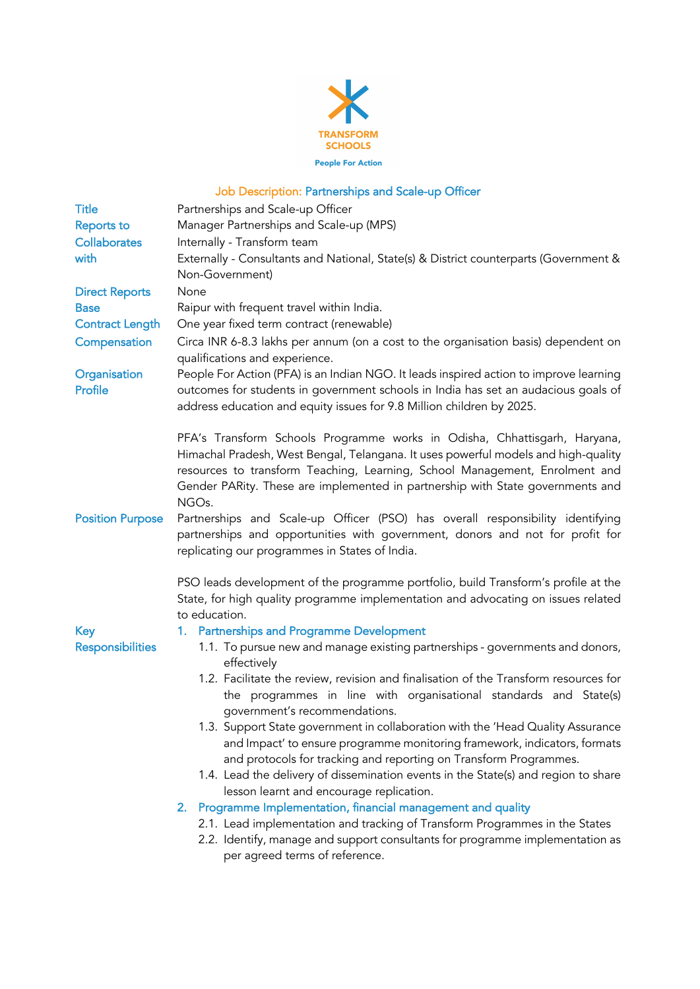

## Job Description: Partnerships and Scale-up Officer

| Partnerships and Scale-up Officer<br>Manager Partnerships and Scale-up (MPS)<br>Internally - Transform team<br>Externally - Consultants and National, State(s) & District counterparts (Government &<br>Non-Government)                                                                                                                                                                                                                                                                                                                                                                                                                                                                                                                                                                                                                                                                                                                                                           |
|-----------------------------------------------------------------------------------------------------------------------------------------------------------------------------------------------------------------------------------------------------------------------------------------------------------------------------------------------------------------------------------------------------------------------------------------------------------------------------------------------------------------------------------------------------------------------------------------------------------------------------------------------------------------------------------------------------------------------------------------------------------------------------------------------------------------------------------------------------------------------------------------------------------------------------------------------------------------------------------|
| None<br>Raipur with frequent travel within India.<br>One year fixed term contract (renewable)<br>Circa INR 6-8.3 lakhs per annum (on a cost to the organisation basis) dependent on<br>qualifications and experience.<br>People For Action (PFA) is an Indian NGO. It leads inspired action to improve learning<br>outcomes for students in government schools in India has set an audacious goals of<br>address education and equity issues for 9.8 Million children by 2025.                                                                                                                                                                                                                                                                                                                                                                                                                                                                                                    |
| PFA's Transform Schools Programme works in Odisha, Chhattisgarh, Haryana,<br>Himachal Pradesh, West Bengal, Telangana. It uses powerful models and high-quality<br>resources to transform Teaching, Learning, School Management, Enrolment and<br>Gender PARity. These are implemented in partnership with State governments and<br>NGO <sub>s</sub> .                                                                                                                                                                                                                                                                                                                                                                                                                                                                                                                                                                                                                            |
| Partnerships and Scale-up Officer (PSO) has overall responsibility identifying<br>partnerships and opportunities with government, donors and not for profit for<br>replicating our programmes in States of India.                                                                                                                                                                                                                                                                                                                                                                                                                                                                                                                                                                                                                                                                                                                                                                 |
| PSO leads development of the programme portfolio, build Transform's profile at the<br>State, for high quality programme implementation and advocating on issues related<br>to education.                                                                                                                                                                                                                                                                                                                                                                                                                                                                                                                                                                                                                                                                                                                                                                                          |
| 1. Partnerships and Programme Development<br>1.1. To pursue new and manage existing partnerships - governments and donors,<br>effectively<br>1.2. Facilitate the review, revision and finalisation of the Transform resources for<br>the programmes in line with organisational standards and State(s)<br>government's recommendations.<br>1.3. Support State government in collaboration with the 'Head Quality Assurance<br>and Impact' to ensure programme monitoring framework, indicators, formats<br>and protocols for tracking and reporting on Transform Programmes.<br>1.4. Lead the delivery of dissemination events in the State(s) and region to share<br>lesson learnt and encourage replication.<br>2. Programme Implementation, financial management and quality<br>2.1. Lead implementation and tracking of Transform Programmes in the States<br>2.2. Identify, manage and support consultants for programme implementation as<br>per agreed terms of reference. |
|                                                                                                                                                                                                                                                                                                                                                                                                                                                                                                                                                                                                                                                                                                                                                                                                                                                                                                                                                                                   |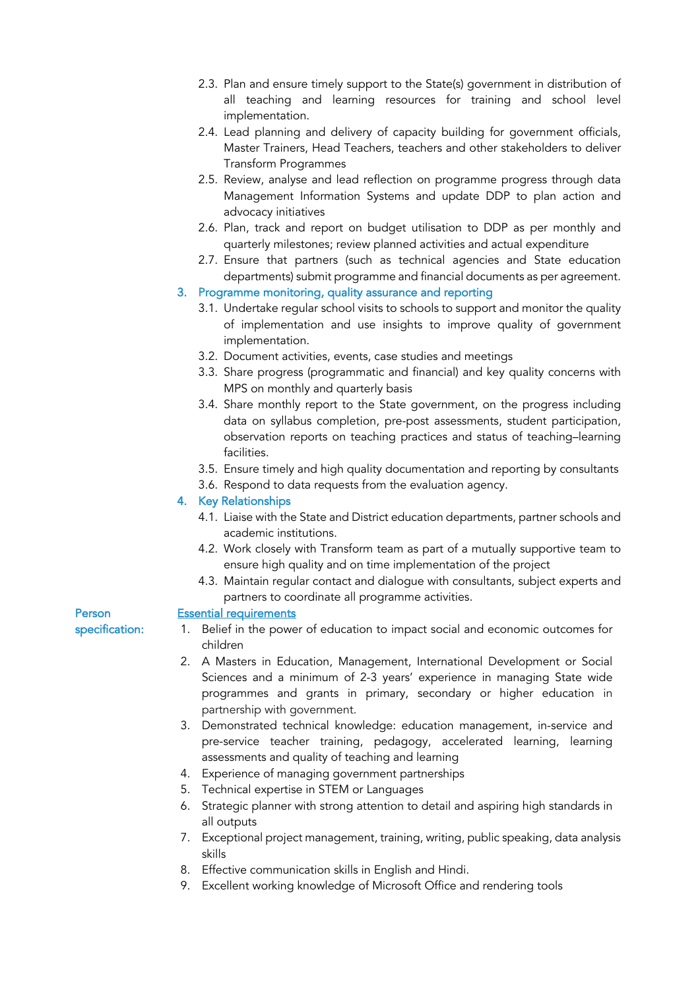- 2.3. Plan and ensure timely support to the State(s) government in distribution of all teaching and learning resources for training and school level implementation.
- 2.4. Lead planning and delivery of capacity building for government officials, Master Trainers, Head Teachers, teachers and other stakeholders to deliver Transform Programmes
- 2.5. Review, analyse and lead reflection on programme progress through data Management Information Systems and update DDP to plan action and advocacy initiatives
- 2.6. Plan, track and report on budget utilisation to DDP as per monthly and quarterly milestones; review planned activities and actual expenditure
- 2.7. Ensure that partners (such as technical agencies and State education departments) submit programme and financial documents as per agreement.

## 3. Programme monitoring, quality assurance and reporting

- 3.1. Undertake regular school visits to schools to support and monitor the quality of implementation and use insights to improve quality of government implementation.
- 3.2. Document activities, events, case studies and meetings
- 3.3. Share progress (programmatic and financial) and key quality concerns with MPS on monthly and quarterly basis
- 3.4. Share monthly report to the State government, on the progress including data on syllabus completion, pre-post assessments, student participation, observation reports on teaching practices and status of teaching–learning facilities.
- 3.5. Ensure timely and high quality documentation and reporting by consultants
- 3.6. Respond to data requests from the evaluation agency.

### 4. Key Relationships

- 4.1. Liaise with the State and District education departments, partner schools and academic institutions.
- 4.2. Work closely with Transform team as part of a mutually supportive team to ensure high quality and on time implementation of the project
- 4.3. Maintain regular contact and dialogue with consultants, subject experts and partners to coordinate all programme activities.

#### Essential requirements

- 1. Belief in the power of education to impact social and economic outcomes for children
- 2. A Masters in Education, Management, International Development or Social Sciences and a minimum of 2-3 years' experience in managing State wide programmes and grants in primary, secondary or higher education in partnership with government.
- 3. Demonstrated technical knowledge: education management, in-service and pre-service teacher training, pedagogy, accelerated learning, learning assessments and quality of teaching and learning
- 4. Experience of managing government partnerships
- 5. Technical expertise in STEM or Languages
- 6. Strategic planner with strong attention to detail and aspiring high standards in all outputs
- 7. Exceptional project management, training, writing, public speaking, data analysis skills
- 8. Effective communication skills in English and Hindi.
- 9. Excellent working knowledge of Microsoft Office and rendering tools

Person specification: